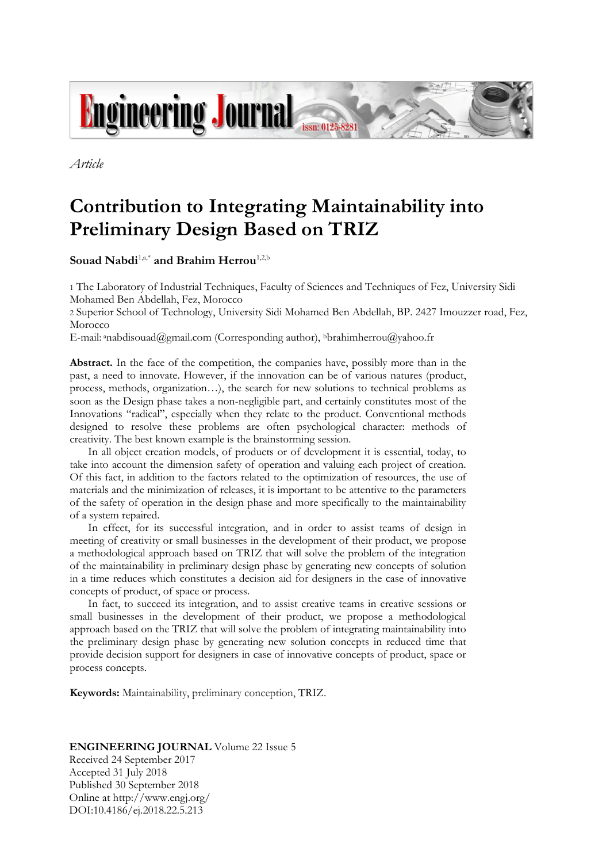

*Article*

# **Contribution to Integrating Maintainability into Preliminary Design Based on TRIZ**

Souad Nabdi<sup>1,a,\*</sup> and Brahim Herrou<sup>1,2,b</sup>

1 The Laboratory of Industrial Techniques, Faculty of Sciences and Techniques of Fez, University Sidi Mohamed Ben Abdellah, Fez, Morocco

2 Superior School of Technology, University Sidi Mohamed Ben Abdellah, BP. 2427 Imouzzer road, Fez, Morocco

E-mail: anabdisouad@gmail.com (Corresponding author), bbrahimherrou@yahoo.fr

Abstract. In the face of the competition, the companies have, possibly more than in the past, a need to innovate. However, if the innovation can be of various natures (product, process, methods, organization…), the search for new solutions to technical problems as soon as the Design phase takes a non-negligible part, and certainly constitutes most of the Innovations "radical", especially when they relate to the product. Conventional methods designed to resolve these problems are often psychological character: methods of creativity. The best known example is the brainstorming session.

In all object creation models, of products or of development it is essential, today, to take into account the dimension safety of operation and valuing each project of creation. Of this fact, in addition to the factors related to the optimization of resources, the use of materials and the minimization of releases, it is important to be attentive to the parameters of the safety of operation in the design phase and more specifically to the maintainability of a system repaired.

In effect, for its successful integration, and in order to assist teams of design in meeting of creativity or small businesses in the development of their product, we propose a methodological approach based on TRIZ that will solve the problem of the integration of the maintainability in preliminary design phase by generating new concepts of solution in a time reduces which constitutes a decision aid for designers in the case of innovative concepts of product, of space or process.

In fact, to succeed its integration, and to assist creative teams in creative sessions or small businesses in the development of their product, we propose a methodological approach based on the TRIZ that will solve the problem of integrating maintainability into the preliminary design phase by generating new solution concepts in reduced time that provide decision support for designers in case of innovative concepts of product, space or process concepts.

**Keywords:** Maintainability, preliminary conception, TRIZ.

## **ENGINEERING JOURNAL** Volume 22 Issue 5

Received 24 September 2017 Accepted 31 July 2018 Published 30 September 2018 Online at http://www.engj.org/ DOI:10.4186/ej.2018.22.5.213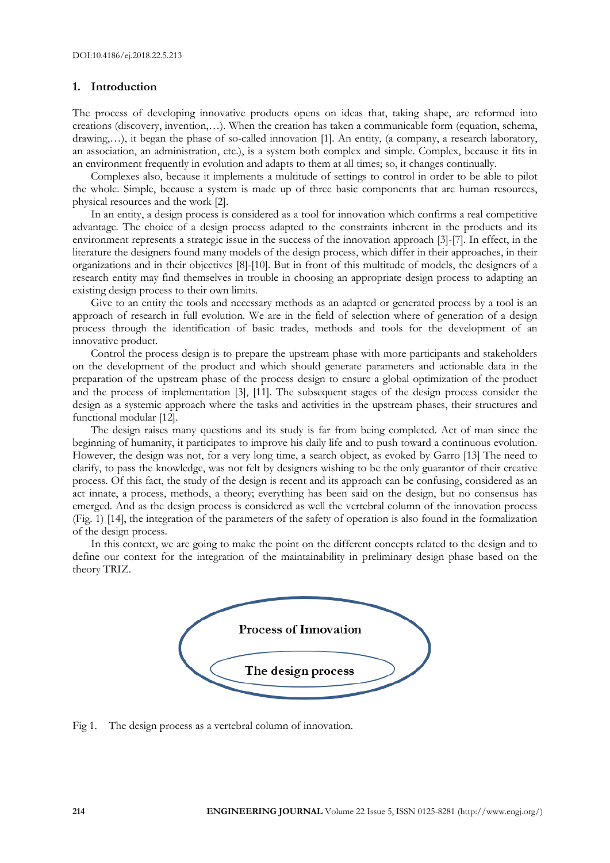## **1. Introduction**

The process of developing innovative products opens on ideas that, taking shape, are reformed into creations (discovery, invention,…). When the creation has taken a communicable form (equation, schema, drawing,…), it began the phase of so-called innovation [1]. An entity, (a company, a research laboratory, an association, an administration, etc.), is a system both complex and simple. Complex, because it fits in an environment frequently in evolution and adapts to them at all times; so, it changes continually.

Complexes also, because it implements a multitude of settings to control in order to be able to pilot the whole. Simple, because a system is made up of three basic components that are human resources, physical resources and the work [2].

In an entity, a design process is considered as a tool for innovation which confirms a real competitive advantage. The choice of a design process adapted to the constraints inherent in the products and its environment represents a strategic issue in the success of the innovation approach [3]-[7]. In effect, in the literature the designers found many models of the design process, which differ in their approaches, in their organizations and in their objectives [8]-[10]. But in front of this multitude of models, the designers of a research entity may find themselves in trouble in choosing an appropriate design process to adapting an existing design process to their own limits.

Give to an entity the tools and necessary methods as an adapted or generated process by a tool is an approach of research in full evolution. We are in the field of selection where of generation of a design process through the identification of basic trades, methods and tools for the development of an innovative product.

Control the process design is to prepare the upstream phase with more participants and stakeholders on the development of the product and which should generate parameters and actionable data in the preparation of the upstream phase of the process design to ensure a global optimization of the product and the process of implementation [3], [11]. The subsequent stages of the design process consider the design as a systemic approach where the tasks and activities in the upstream phases, their structures and functional modular [12].

The design raises many questions and its study is far from being completed. Act of man since the beginning of humanity, it participates to improve his daily life and to push toward a continuous evolution. However, the design was not, for a very long time, a search object, as evoked by Garro [13] The need to clarify, to pass the knowledge, was not felt by designers wishing to be the only guarantor of their creative process. Of this fact, the study of the design is recent and its approach can be confusing, considered as an act innate, a process, methods, a theory; everything has been said on the design, but no consensus has emerged. And as the design process is considered as well the vertebral column of the innovation process (Fig. 1) [14], the integration of the parameters of the safety of operation is also found in the formalization of the design process.

In this context, we are going to make the point on the different concepts related to the design and to define our context for the integration of the maintainability in preliminary design phase based on the theory TRIZ.



Fig 1. The design process as a vertebral column of innovation.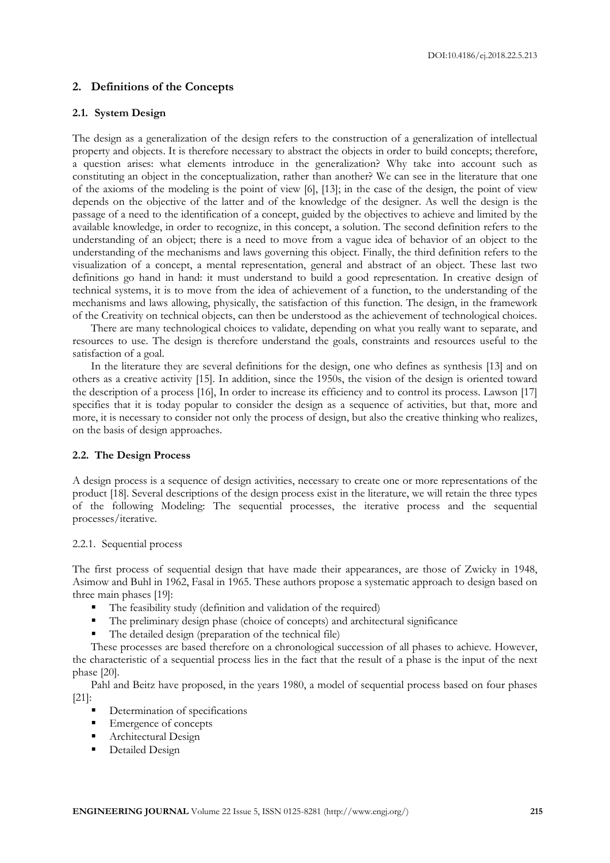## **2. Definitions of the Concepts**

#### **2.1. System Design**

The design as a generalization of the design refers to the construction of a generalization of intellectual property and objects. It is therefore necessary to abstract the objects in order to build concepts; therefore, a question arises: what elements introduce in the generalization? Why take into account such as constituting an object in the conceptualization, rather than another? We can see in the literature that one of the axioms of the modeling is the point of view [6], [13]; in the case of the design, the point of view depends on the objective of the latter and of the knowledge of the designer. As well the design is the passage of a need to the identification of a concept, guided by the objectives to achieve and limited by the available knowledge, in order to recognize, in this concept, a solution. The second definition refers to the understanding of an object; there is a need to move from a vague idea of behavior of an object to the understanding of the mechanisms and laws governing this object. Finally, the third definition refers to the visualization of a concept, a mental representation, general and abstract of an object. These last two definitions go hand in hand: it must understand to build a good representation. In creative design of technical systems, it is to move from the idea of achievement of a function, to the understanding of the mechanisms and laws allowing, physically, the satisfaction of this function. The design, in the framework of the Creativity on technical objects, can then be understood as the achievement of technological choices.

There are many technological choices to validate, depending on what you really want to separate, and resources to use. The design is therefore understand the goals, constraints and resources useful to the satisfaction of a goal.

In the literature they are several definitions for the design, one who defines as synthesis [13] and on others as a creative activity [15]. In addition, since the 1950s, the vision of the design is oriented toward the description of a process [16], In order to increase its efficiency and to control its process. Lawson [17] specifies that it is today popular to consider the design as a sequence of activities, but that, more and more, it is necessary to consider not only the process of design, but also the creative thinking who realizes, on the basis of design approaches.

## **2.2. The Design Process**

A design process is a sequence of design activities, necessary to create one or more representations of the product [18]. Several descriptions of the design process exist in the literature, we will retain the three types of the following Modeling: The sequential processes, the iterative process and the sequential processes/iterative.

#### 2.2.1. Sequential process

The first process of sequential design that have made their appearances, are those of Zwicky in 1948, Asimow and Buhl in 1962, Fasal in 1965. These authors propose a systematic approach to design based on three main phases [19]:

- The feasibility study (definition and validation of the required)
- The preliminary design phase (choice of concepts) and architectural significance
- The detailed design (preparation of the technical file)

These processes are based therefore on a chronological succession of all phases to achieve. However, the characteristic of a sequential process lies in the fact that the result of a phase is the input of the next phase [20].

Pahl and Beitz have proposed, in the years 1980, a model of sequential process based on four phases [21]:

- Determination of specifications
- Emergence of concepts
- **Architectural Design**
- **•** Detailed Design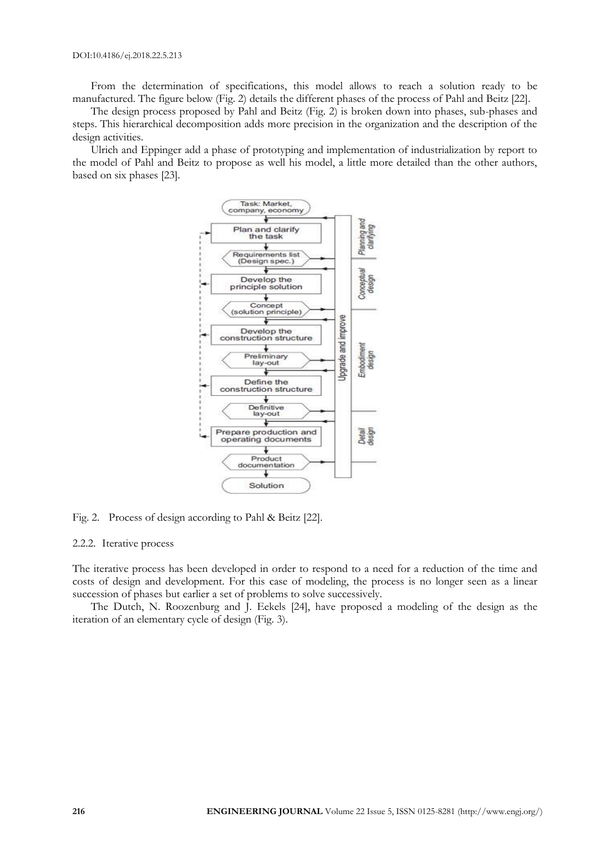From the determination of specifications, this model allows to reach a solution ready to be manufactured. The figure below (Fig. 2) details the different phases of the process of Pahl and Beitz [22].

The design process proposed by Pahl and Beitz (Fig. 2) is broken down into phases, sub-phases and steps. This hierarchical decomposition adds more precision in the organization and the description of the design activities.

Ulrich and Eppinger add a phase of prototyping and implementation of industrialization by report to the model of Pahl and Beitz to propose as well his model, a little more detailed than the other authors, based on six phases [23].



Fig. 2. Process of design according to Pahl & Beitz [22].

#### 2.2.2. Iterative process

The iterative process has been developed in order to respond to a need for a reduction of the time and costs of design and development. For this case of modeling, the process is no longer seen as a linear succession of phases but earlier a set of problems to solve successively.

The Dutch, N. Roozenburg and J. Eekels [24], have proposed a modeling of the design as the iteration of an elementary cycle of design (Fig. 3).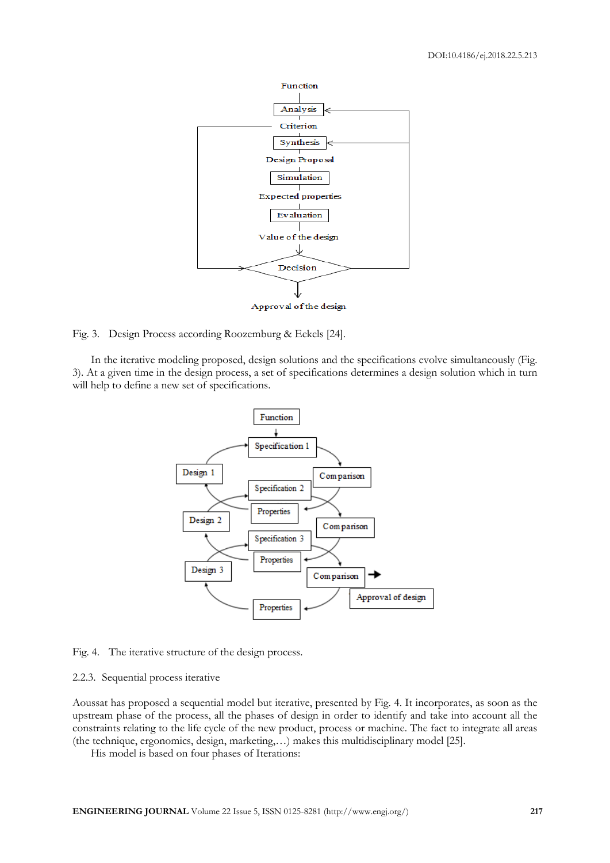

Fig. 3. Design Process according Roozemburg & Eekels [24].

In the iterative modeling proposed, design solutions and the specifications evolve simultaneously (Fig. 3). At a given time in the design process, a set of specifications determines a design solution which in turn will help to define a new set of specifications.



Fig. 4. The iterative structure of the design process.

#### 2.2.3. Sequential process iterative

Aoussat has proposed a sequential model but iterative, presented by Fig. 4. It incorporates, as soon as the upstream phase of the process, all the phases of design in order to identify and take into account all the constraints relating to the life cycle of the new product, process or machine. The fact to integrate all areas (the technique, ergonomics, design, marketing,…) makes this multidisciplinary model [25].

His model is based on four phases of Iterations: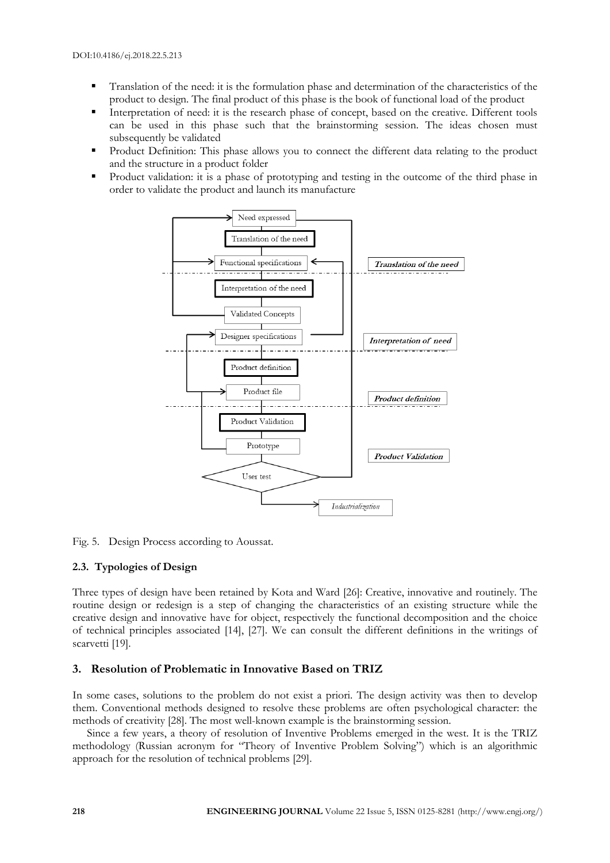- Translation of the need: it is the formulation phase and determination of the characteristics of the product to design. The final product of this phase is the book of functional load of the product
- Interpretation of need: it is the research phase of concept, based on the creative. Different tools can be used in this phase such that the brainstorming session. The ideas chosen must subsequently be validated
- Product Definition: This phase allows you to connect the different data relating to the product and the structure in a product folder
- Product validation: it is a phase of prototyping and testing in the outcome of the third phase in order to validate the product and launch its manufacture



Fig. 5. Design Process according to Aoussat.

# **2.3. Typologies of Design**

Three types of design have been retained by Kota and Ward [26]: Creative, innovative and routinely. The routine design or redesign is a step of changing the characteristics of an existing structure while the creative design and innovative have for object, respectively the functional decomposition and the choice of technical principles associated [14], [27]. We can consult the different definitions in the writings of scarvetti [19].

# **3. Resolution of Problematic in Innovative Based on TRIZ**

In some cases, solutions to the problem do not exist a priori. The design activity was then to develop them. Conventional methods designed to resolve these problems are often psychological character: the methods of creativity [28]. The most well-known example is the brainstorming session.

Since a few years, a theory of resolution of Inventive Problems emerged in the west. It is the TRIZ methodology (Russian acronym for "Theory of Inventive Problem Solving") which is an algorithmic approach for the resolution of technical problems [29].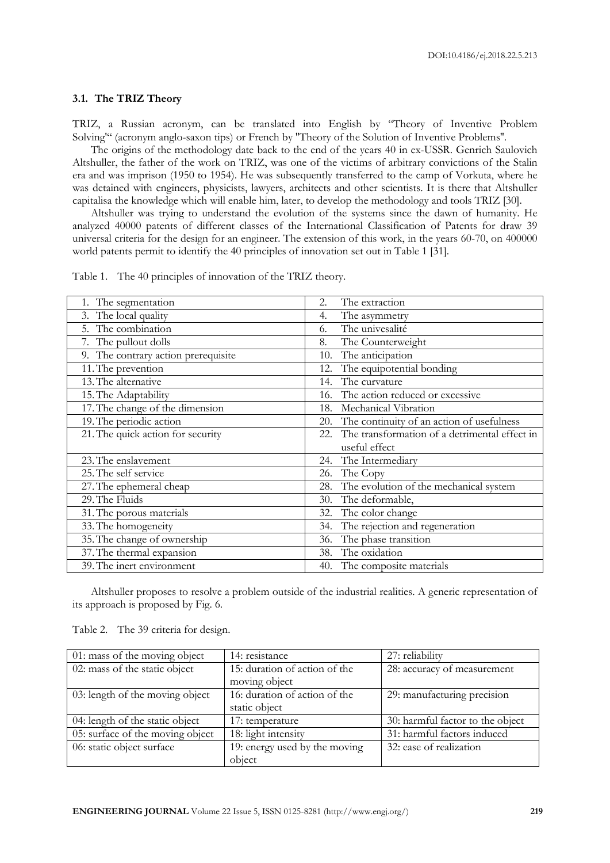#### **3.1. The TRIZ Theory**

TRIZ, a Russian acronym, can be translated into English by "Theory of Inventive Problem Solving'" (acronym anglo-saxon tips) or French by ''Theory of the Solution of Inventive Problems''.

The origins of the methodology date back to the end of the years 40 in ex-USSR. Genrich Saulovich Altshuller, the father of the work on TRIZ, was one of the victims of arbitrary convictions of the Stalin era and was imprison (1950 to 1954). He was subsequently transferred to the camp of Vorkuta, where he was detained with engineers, physicists, lawyers, architects and other scientists. It is there that Altshuller capitalisa the knowledge which will enable him, later, to develop the methodology and tools TRIZ [30].

Altshuller was trying to understand the evolution of the systems since the dawn of humanity. He analyzed 40000 patents of different classes of the International Classification of Patents for draw 39 universal criteria for the design for an engineer. The extension of this work, in the years 60-70, on 400000 world patents permit to identify the 40 principles of innovation set out in Table 1 [31].

| 1. The segmentation                 | The extraction<br>2.                                 |
|-------------------------------------|------------------------------------------------------|
| 3. The local quality                | The asymmetry<br>4.                                  |
| 5. The combination                  | The univesalité<br>6.                                |
| 7. The pullout dolls                | The Counterweight<br>8.                              |
| 9. The contrary action prerequisite | The anticipation<br>10.                              |
| 11. The prevention                  | The equipotential bonding<br>12.                     |
| 13. The alternative                 | The curvature<br>14.                                 |
| 15. The Adaptability                | The action reduced or excessive<br>16.               |
| 17. The change of the dimension     | Mechanical Vibration<br>18.                          |
| 19. The periodic action             | The continuity of an action of usefulness<br>20.     |
| 21. The quick action for security   | The transformation of a detrimental effect in<br>22. |
|                                     | useful effect                                        |
| 23. The enslavement                 | The Intermediary<br>24.                              |
| 25. The self service                | The Copy<br>26.                                      |
| 27. The ephemeral cheap             | The evolution of the mechanical system<br>28.        |
| 29. The Fluids                      | The deformable,<br>30.                               |
| 31. The porous materials            | The color change<br>32.                              |
| 33. The homogeneity                 | The rejection and regeneration<br>34.                |
| 35. The change of ownership         | The phase transition<br>36.                          |
| 37. The thermal expansion           | 38. The oxidation                                    |
| 39. The inert environment           | 40. The composite materials                          |

Table 1. The 40 principles of innovation of the TRIZ theory.

Altshuller proposes to resolve a problem outside of the industrial realities. A generic representation of its approach is proposed by Fig. 6.

| 01: mass of the moving object    | 14: resistance                | 27: reliability                  |
|----------------------------------|-------------------------------|----------------------------------|
| 02: mass of the static object    | 15: duration of action of the | 28: accuracy of measurement      |
|                                  | moving object                 |                                  |
| 03: length of the moving object  | 16: duration of action of the | 29: manufacturing precision      |
|                                  | static object                 |                                  |
| 04: length of the static object  | 17: temperature               | 30: harmful factor to the object |
| 05: surface of the moving object | 18: light intensity           | 31: harmful factors induced      |
| 06: static object surface        | 19: energy used by the moving | 32: ease of realization          |
|                                  | object                        |                                  |

Table 2. The 39 criteria for design.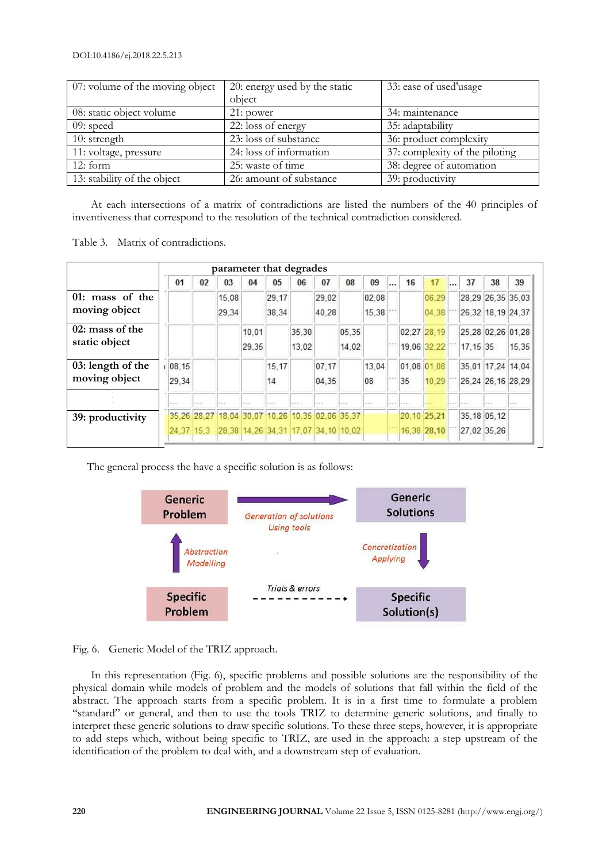| 07: volume of the moving object | 20: energy used by the static | 33: ease of used'usage         |
|---------------------------------|-------------------------------|--------------------------------|
|                                 | object                        |                                |
| 08: static object volume        | 21: power                     | 34: maintenance                |
| $09:$ speed                     | 22: loss of energy            | 35: adaptability               |
| 10: strength                    | 23: loss of substance         | 36: product complexity         |
| 11: voltage, pressure           | 24: loss of information       | 37: complexity of the piloting |
| 12:form                         | 25: waste of time             | 38: degree of automation       |
| 13: stability of the object     | 26: amount of substance       | 39: productivity               |

At each intersections of a matrix of contradictions are listed the numbers of the 40 principles of inventiveness that correspond to the resolution of the technical contradiction considered.

Table 3. Matrix of contradictions.

|                   | parameter that degrades |         |                                                 |         |         |       |         |       |         |  |             |             |          |                   |         |
|-------------------|-------------------------|---------|-------------------------------------------------|---------|---------|-------|---------|-------|---------|--|-------------|-------------|----------|-------------------|---------|
|                   | 01                      | 02      | 03                                              | 04      | 05      | 06    | 07      | 08    | 09      |  | 16          | 17          | 37       | 38                | 39      |
| 01: mass of the   |                         |         | 15.08                                           |         | 29.17   |       | 29.02   |       | 02.08   |  |             | 06.29       |          | 28.29 26.35 35.03 |         |
| moving object     |                         |         | 29.34                                           |         | 38,34   |       | 40.28   |       | 15,38   |  |             | 04.38       |          | 26.32 18.19 24.37 |         |
| $02:$ mass of the |                         |         |                                                 | 10,01   |         | 35,30 |         | 05,35 |         |  | 02.27 28.19 |             |          | 25,28 02,26 01,28 |         |
| static object     |                         |         |                                                 | 29,35   |         | 13.02 |         | 14,02 |         |  |             | 19,06 32.22 | 17.15 35 |                   | 15,35   |
| 03: length of the | 08,15                   |         |                                                 |         | 15,17   |       | 07.17   |       | 13,04   |  | 01.08 01.08 |             |          | 35.01 17.24 14.04 |         |
| moving object     | 29,34                   |         |                                                 |         | 14      |       | 04.35   |       | 08      |  | 35          | 10.29       |          | 26,24 26,16 28,29 |         |
|                   | $= - +$                 | $- - -$ | - - -                                           | $- - -$ | $- - -$ | $-$   | $- - -$ |       | $- - -$ |  | $- - -$     |             |          |                   | $- - -$ |
| 39: productivity  |                         |         | 35.26 28.27 18.04 30.07 10.26 10.35 02.06 35.37 |         |         |       |         |       |         |  | 20.10 25,21 |             |          | 35, 18 05, 12     |         |
|                   | 24, 37 15, 3            |         | 28,38 14,26 34,31 17,07 34,10 10,02             |         |         |       |         |       |         |  |             | 16,38 28,10 |          | 27,02 35,26       |         |
|                   |                         |         |                                                 |         |         |       |         |       |         |  |             |             |          |                   |         |

The general process the have a specific solution is as follows:



Fig. 6. Generic Model of the TRIZ approach.

In this representation (Fig. 6), specific problems and possible solutions are the responsibility of the physical domain while models of problem and the models of solutions that fall within the field of the abstract. The approach starts from a specific problem. It is in a first time to formulate a problem "standard" or general, and then to use the tools TRIZ to determine generic solutions, and finally to interpret these generic solutions to draw specific solutions. To these three steps, however, it is appropriate to add steps which, without being specific to TRIZ, are used in the approach: a step upstream of the identification of the problem to deal with, and a downstream step of evaluation.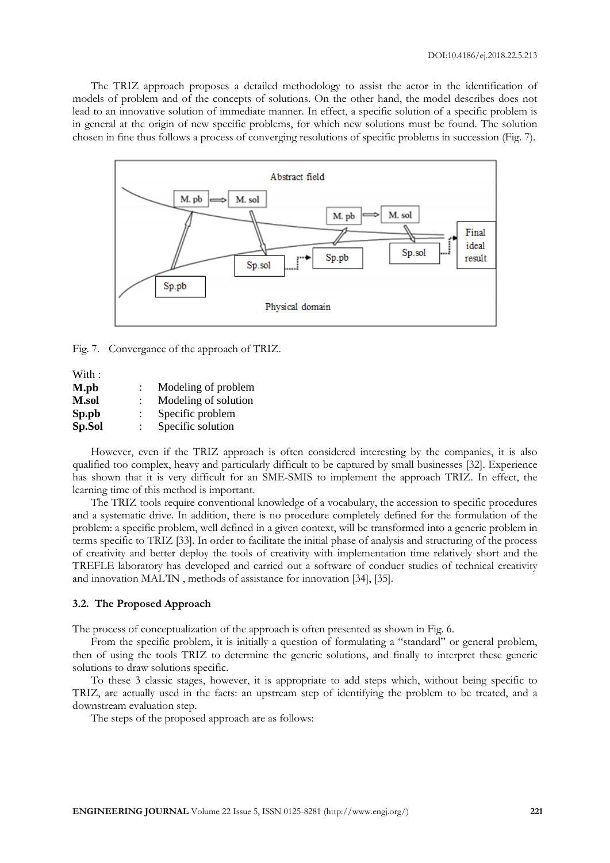The TRIZ approach proposes a detailed methodology to assist the actor in the identification of models of problem and of the concepts of solutions. On the other hand, the model describes does not lead to an innovative solution of immediate manner. In effect, a specific solution of a specific problem is in general at the origin of new specific problems, for which new solutions must be found. The solution chosen in fine thus follows a process of converging resolutions of specific problems in succession (Fig. 7).



Fig. 7. Convergance of the approach of TRIZ.

With: **M.pb** : Modeling of problem **M.sol** : Modeling of solution **Sp.pb** : Specific problem **Sp.Sol** : Specific solution

However, even if the TRIZ approach is often considered interesting by the companies, it is also qualified too complex, heavy and particularly difficult to be captured by small businesses [32]. Experience has shown that it is very difficult for an SME-SMIS to implement the approach TRIZ. In effect, the learning time of this method is important.

The TRIZ tools require conventional knowledge of a vocabulary, the accession to specific procedures and a systematic drive. In addition, there is no procedure completely defined for the formulation of the problem: a specific problem, well defined in a given context, will be transformed into a generic problem in terms specific to TRIZ [33]. In order to facilitate the initial phase of analysis and structuring of the process of creativity and better deploy the tools of creativity with implementation time relatively short and the TREFLE laboratory has developed and carried out a software of conduct studies of technical creativity and innovation MAL'IN , methods of assistance for innovation [34], [35].

#### **3.2. The Proposed Approach**

The process of conceptualization of the approach is often presented as shown in Fig. 6.

From the specific problem, it is initially a question of formulating a "standard" or general problem, then of using the tools TRIZ to determine the generic solutions, and finally to interpret these generic solutions to draw solutions specific.

To these 3 classic stages, however, it is appropriate to add steps which, without being specific to TRIZ, are actually used in the facts: an upstream step of identifying the problem to be treated, and a downstream evaluation step.

The steps of the proposed approach are as follows: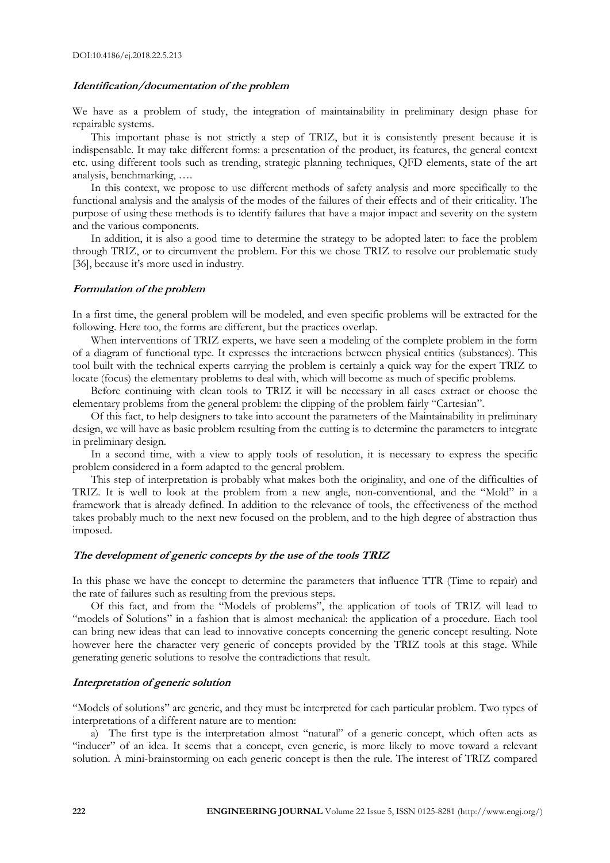## **Identification/documentation of the problem**

We have as a problem of study, the integration of maintainability in preliminary design phase for repairable systems.

This important phase is not strictly a step of TRIZ, but it is consistently present because it is indispensable. It may take different forms: a presentation of the product, its features, the general context etc. using different tools such as trending, strategic planning techniques, QFD elements, state of the art analysis, benchmarking, ….

In this context, we propose to use different methods of safety analysis and more specifically to the functional analysis and the analysis of the modes of the failures of their effects and of their criticality. The purpose of using these methods is to identify failures that have a major impact and severity on the system and the various components.

In addition, it is also a good time to determine the strategy to be adopted later: to face the problem through TRIZ, or to circumvent the problem. For this we chose TRIZ to resolve our problematic study [36], because it's more used in industry.

#### **Formulation of the problem**

In a first time, the general problem will be modeled, and even specific problems will be extracted for the following. Here too, the forms are different, but the practices overlap.

When interventions of TRIZ experts, we have seen a modeling of the complete problem in the form of a diagram of functional type. It expresses the interactions between physical entities (substances). This tool built with the technical experts carrying the problem is certainly a quick way for the expert TRIZ to locate (focus) the elementary problems to deal with, which will become as much of specific problems.

Before continuing with clean tools to TRIZ it will be necessary in all cases extract or choose the elementary problems from the general problem: the clipping of the problem fairly "Cartesian".

Of this fact, to help designers to take into account the parameters of the Maintainability in preliminary design, we will have as basic problem resulting from the cutting is to determine the parameters to integrate in preliminary design.

In a second time, with a view to apply tools of resolution, it is necessary to express the specific problem considered in a form adapted to the general problem.

This step of interpretation is probably what makes both the originality, and one of the difficulties of TRIZ. It is well to look at the problem from a new angle, non-conventional, and the "Mold" in a framework that is already defined. In addition to the relevance of tools, the effectiveness of the method takes probably much to the next new focused on the problem, and to the high degree of abstraction thus imposed.

#### **The development of generic concepts by the use of the tools TRIZ**

In this phase we have the concept to determine the parameters that influence TTR (Time to repair) and the rate of failures such as resulting from the previous steps.

Of this fact, and from the "Models of problems", the application of tools of TRIZ will lead to "models of Solutions" in a fashion that is almost mechanical: the application of a procedure. Each tool can bring new ideas that can lead to innovative concepts concerning the generic concept resulting. Note however here the character very generic of concepts provided by the TRIZ tools at this stage. While generating generic solutions to resolve the contradictions that result.

#### **Interpretation of generic solution**

"Models of solutions" are generic, and they must be interpreted for each particular problem. Two types of interpretations of a different nature are to mention:

a) The first type is the interpretation almost "natural" of a generic concept, which often acts as "inducer" of an idea. It seems that a concept, even generic, is more likely to move toward a relevant solution. A mini-brainstorming on each generic concept is then the rule. The interest of TRIZ compared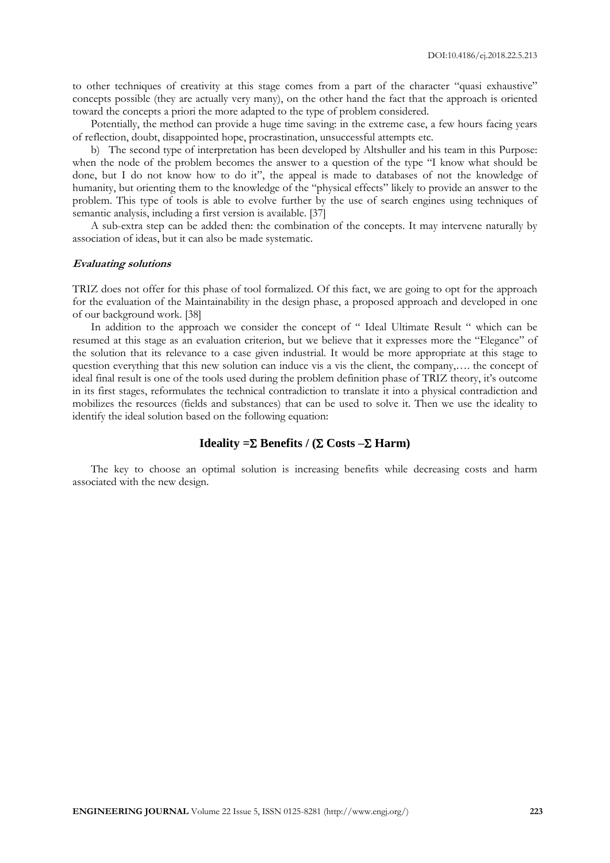to other techniques of creativity at this stage comes from a part of the character "quasi exhaustive" concepts possible (they are actually very many), on the other hand the fact that the approach is oriented toward the concepts a priori the more adapted to the type of problem considered.

Potentially, the method can provide a huge time saving: in the extreme case, a few hours facing years of reflection, doubt, disappointed hope, procrastination, unsuccessful attempts etc.

b) The second type of interpretation has been developed by Altshuller and his team in this Purpose: when the node of the problem becomes the answer to a question of the type "I know what should be done, but I do not know how to do it", the appeal is made to databases of not the knowledge of humanity, but orienting them to the knowledge of the "physical effects" likely to provide an answer to the problem. This type of tools is able to evolve further by the use of search engines using techniques of semantic analysis, including a first version is available. [37]

A sub-extra step can be added then: the combination of the concepts. It may intervene naturally by association of ideas, but it can also be made systematic.

#### **Evaluating solutions**

TRIZ does not offer for this phase of tool formalized. Of this fact, we are going to opt for the approach for the evaluation of the Maintainability in the design phase, a proposed approach and developed in one of our background work. [38]

In addition to the approach we consider the concept of "Ideal Ultimate Result " which can be resumed at this stage as an evaluation criterion, but we believe that it expresses more the "Elegance" of the solution that its relevance to a case given industrial. It would be more appropriate at this stage to question everything that this new solution can induce vis a vis the client, the company,…. the concept of ideal final result is one of the tools used during the problem definition phase of TRIZ theory, it's outcome in its first stages, reformulates the technical contradiction to translate it into a physical contradiction and mobilizes the resources (fields and substances) that can be used to solve it. Then we use the ideality to identify the ideal solution based on the following equation:

# **Ideality** =  $\Sigma$  **Benefits** /  $(\Sigma \text{ Costs} - \Sigma \text{ Harm})$

The key to choose an optimal solution is increasing benefits while decreasing costs and harm associated with the new design.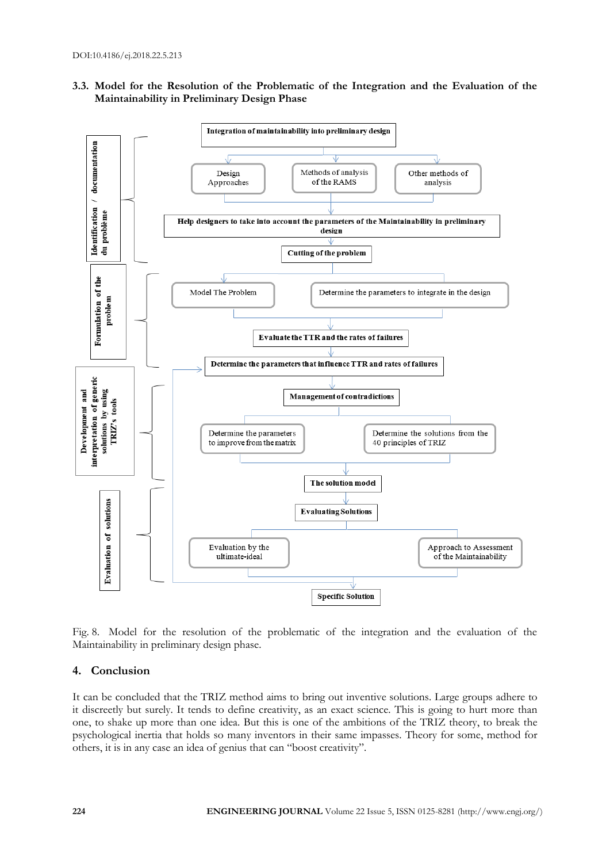



Fig. 8. Model for the resolution of the problematic of the integration and the evaluation of the Maintainability in preliminary design phase.

## **4. Conclusion**

It can be concluded that the TRIZ method aims to bring out inventive solutions. Large groups adhere to it discreetly but surely. It tends to define creativity, as an exact science. This is going to hurt more than one, to shake up more than one idea. But this is one of the ambitions of the TRIZ theory, to break the psychological inertia that holds so many inventors in their same impasses. Theory for some, method for others, it is in any case an idea of genius that can "boost creativity".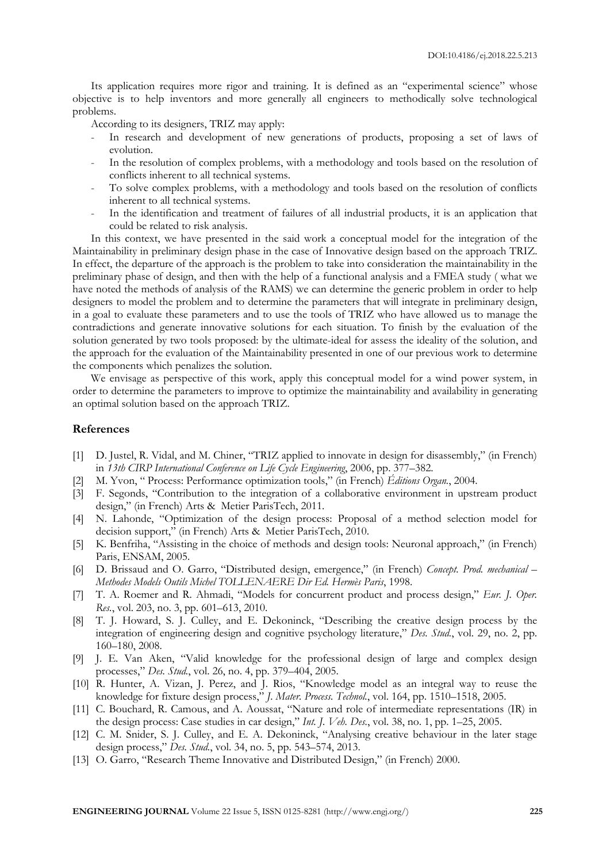Its application requires more rigor and training. It is defined as an "experimental science" whose objective is to help inventors and more generally all engineers to methodically solve technological problems.

According to its designers, TRIZ may apply:

- In research and development of new generations of products, proposing a set of laws of evolution.
- In the resolution of complex problems, with a methodology and tools based on the resolution of conflicts inherent to all technical systems.
- To solve complex problems, with a methodology and tools based on the resolution of conflicts inherent to all technical systems.
- In the identification and treatment of failures of all industrial products, it is an application that could be related to risk analysis.

In this context, we have presented in the said work a conceptual model for the integration of the Maintainability in preliminary design phase in the case of Innovative design based on the approach TRIZ. In effect, the departure of the approach is the problem to take into consideration the maintainability in the preliminary phase of design, and then with the help of a functional analysis and a FMEA study ( what we have noted the methods of analysis of the RAMS) we can determine the generic problem in order to help designers to model the problem and to determine the parameters that will integrate in preliminary design, in a goal to evaluate these parameters and to use the tools of TRIZ who have allowed us to manage the contradictions and generate innovative solutions for each situation. To finish by the evaluation of the solution generated by two tools proposed: by the ultimate-ideal for assess the ideality of the solution, and the approach for the evaluation of the Maintainability presented in one of our previous work to determine the components which penalizes the solution.

We envisage as perspective of this work, apply this conceptual model for a wind power system, in order to determine the parameters to improve to optimize the maintainability and availability in generating an optimal solution based on the approach TRIZ.

#### **References**

- [1] D. Justel, R. Vidal, and M. Chiner, "TRIZ applied to innovate in design for disassembly," (in French) in *13th CIRP International Conference on Life Cycle Engineering*, 2006, pp. 377–382.
- [2] M. Yvon, " Process: Performance optimization tools," (in French) *Éditions Organ.*, 2004.
- [3] F. Segonds, "Contribution to the integration of a collaborative environment in upstream product design," (in French) Arts & Metier ParisTech, 2011.
- [4] N. Lahonde, "Optimization of the design process: Proposal of a method selection model for decision support," (in French) Arts & Metier ParisTech, 2010.
- [5] K. Benfriha, "Assisting in the choice of methods and design tools: Neuronal approach," (in French) Paris, ENSAM, 2005.
- [6] D. Brissaud and O. Garro, "Distributed design, emergence," (in French) *Concept. Prod. mechanical – Methodes Models Outils Michel TOLLENAERE Dir Ed. Hermès Paris*, 1998.
- [7] T. A. Roemer and R. Ahmadi, "Models for concurrent product and process design," *Eur. J. Oper. Res.*, vol. 203, no. 3, pp. 601–613, 2010.
- [8] T. J. Howard, S. J. Culley, and E. Dekoninck, "Describing the creative design process by the integration of engineering design and cognitive psychology literature," *Des. Stud.*, vol. 29, no. 2, pp. 160–180, 2008.
- [9] J. E. Van Aken, "Valid knowledge for the professional design of large and complex design processes," *Des. Stud.*, vol. 26, no. 4, pp. 379–404, 2005.
- [10] R. Hunter, A. Vizan, J. Perez, and J. Rios, "Knowledge model as an integral way to reuse the knowledge for fixture design process," *J. Mater. Process. Technol.*, vol. 164, pp. 1510–1518, 2005.
- [11] C. Bouchard, R. Camous, and A. Aoussat, "Nature and role of intermediate representations (IR) in the design process: Case studies in car design," *Int. J. Veh. Des.*, vol. 38, no. 1, pp. 1–25, 2005.
- [12] C. M. Snider, S. J. Culley, and E. A. Dekoninck, "Analysing creative behaviour in the later stage design process," *Des. Stud.*, vol. 34, no. 5, pp. 543–574, 2013.
- [13] O. Garro, "Research Theme Innovative and Distributed Design," (in French) 2000.